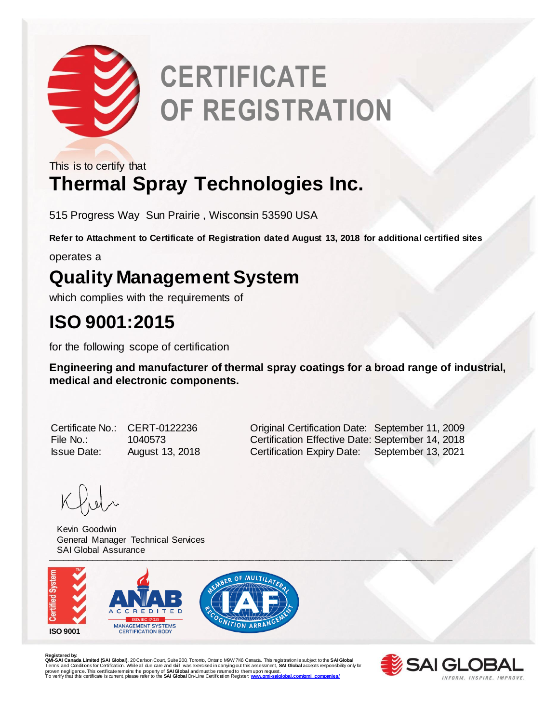

# **CERTIFICATE OF REGISTRATION**

This is to certify that

### **Thermal Spray Technologies Inc.**

515 Progress Way Sun Prairie , Wisconsin 53590 USA

**Refer to Attachment to Certificate of Registration dated August 13, 2018 for additional certified sites**

operates a

### **Quality Management System**

which complies with the requirements of

### **ISO 9001:2015**

for the following scope of certification

**Engineering and manufacturer of thermal spray coatings for a broad range of industrial, medical and electronic components.** 

Certificate No.: CERT-0122236 Original Certification Date: September 11, 2009 File No.: 1040573 Certification Effective Date: September 14, 2018 Issue Date: August 13, 2018 Certification Expiry Date: September 13, 2021

\_\_\_\_\_\_\_\_\_\_\_\_\_\_\_\_\_\_\_\_\_\_\_\_\_\_\_\_\_\_\_\_\_\_\_\_\_\_\_\_\_\_\_\_\_\_\_\_\_\_\_\_\_\_\_\_\_\_\_\_\_\_\_\_\_\_\_\_\_\_\_\_\_\_\_\_\_\_\_\_ Kevin Goodwin General Manager Technical Services SAI Global Assurance



R**egistered by:**<br>**QMI-SAI Canada Limited (SAI Global)**, 20 Carlson Court, Suite 200, Toronb, Ontario M9W 7K6 Canada. This registrafon is subject to the **SAI Global**<br>Terms and Conditions for Certification. While all due car